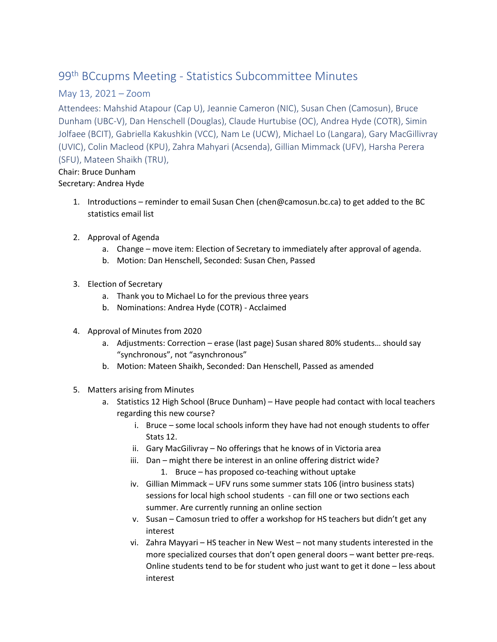## 99th BCcupms Meeting - Statistics Subcommittee Minutes

## May 13, 2021 – Zoom

Attendees: Mahshid Atapour (Cap U), Jeannie Cameron (NIC), Susan Chen (Camosun), Bruce Dunham (UBC-V), Dan Henschell (Douglas), Claude Hurtubise (OC), Andrea Hyde (COTR), Simin Jolfaee (BCIT), Gabriella Kakushkin (VCC), Nam Le (UCW), Michael Lo (Langara), Gary MacGillivray (UVIC), Colin Macleod (KPU), Zahra Mahyari (Acsenda), Gillian Mimmack (UFV), Harsha Perera (SFU), Mateen Shaikh (TRU),

## Chair: Bruce Dunham Secretary: Andrea Hyde

- 1. Introductions reminder to email Susan Chen (chen@camosun.bc.ca) to get added to the BC statistics email list
- 2. Approval of Agenda
	- a. Change move item: Election of Secretary to immediately after approval of agenda.
	- b. Motion: Dan Henschell, Seconded: Susan Chen, Passed
- 3. Election of Secretary
	- a. Thank you to Michael Lo for the previous three years
	- b. Nominations: Andrea Hyde (COTR) Acclaimed
- 4. Approval of Minutes from 2020
	- a. Adjustments: Correction erase (last page) Susan shared 80% students… should say "synchronous", not "asynchronous"
	- b. Motion: Mateen Shaikh, Seconded: Dan Henschell, Passed as amended
- 5. Matters arising from Minutes
	- a. Statistics 12 High School (Bruce Dunham) Have people had contact with local teachers regarding this new course?
		- i. Bruce some local schools inform they have had not enough students to offer Stats 12.
		- ii. Gary MacGilivray No offerings that he knows of in Victoria area
		- iii. Dan might there be interest in an online offering district wide?
			- 1. Bruce has proposed co-teaching without uptake
		- iv. Gillian Mimmack UFV runs some summer stats 106 (intro business stats) sessions for local high school students - can fill one or two sections each summer. Are currently running an online section
		- v. Susan Camosun tried to offer a workshop for HS teachers but didn't get any interest
		- vi. Zahra Mayyari HS teacher in New West not many students interested in the more specialized courses that don't open general doors – want better pre-reqs. Online students tend to be for student who just want to get it done – less about interest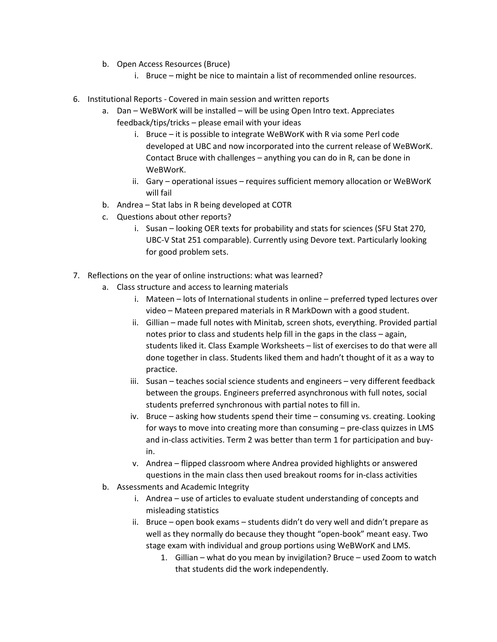- b. Open Access Resources (Bruce)
	- i. Bruce might be nice to maintain a list of recommended online resources.
- 6. Institutional Reports Covered in main session and written reports
	- a. Dan WeBWorK will be installed will be using Open Intro text. Appreciates feedback/tips/tricks – please email with your ideas
		- i. Bruce it is possible to integrate WeBWorK with R via some Perl code developed at UBC and now incorporated into the current release of WeBWorK. Contact Bruce with challenges – anything you can do in R, can be done in WeBWorK.
		- ii. Gary operational issues requires sufficient memory allocation or WeBWorK will fail
	- b. Andrea Stat labs in R being developed at COTR
	- c. Questions about other reports?
		- i. Susan looking OER texts for probability and stats for sciences (SFU Stat 270, UBC-V Stat 251 comparable). Currently using Devore text. Particularly looking for good problem sets.
- 7. Reflections on the year of online instructions: what was learned?
	- a. Class structure and access to learning materials
		- i. Mateen lots of International students in online preferred typed lectures over video – Mateen prepared materials in R MarkDown with a good student.
		- ii. Gillian made full notes with Minitab, screen shots, everything. Provided partial notes prior to class and students help fill in the gaps in the class – again, students liked it. Class Example Worksheets – list of exercises to do that were all done together in class. Students liked them and hadn't thought of it as a way to practice.
		- iii. Susan teaches social science students and engineers very different feedback between the groups. Engineers preferred asynchronous with full notes, social students preferred synchronous with partial notes to fill in.
		- iv. Bruce asking how students spend their time consuming vs. creating. Looking for ways to move into creating more than consuming – pre-class quizzes in LMS and in-class activities. Term 2 was better than term 1 for participation and buyin.
		- v. Andrea flipped classroom where Andrea provided highlights or answered questions in the main class then used breakout rooms for in-class activities
	- b. Assessments and Academic Integrity
		- i. Andrea use of articles to evaluate student understanding of concepts and misleading statistics
		- ii. Bruce open book exams students didn't do very well and didn't prepare as well as they normally do because they thought "open-book" meant easy. Two stage exam with individual and group portions using WeBWorK and LMS.
			- 1. Gillian what do you mean by invigilation? Bruce used Zoom to watch that students did the work independently.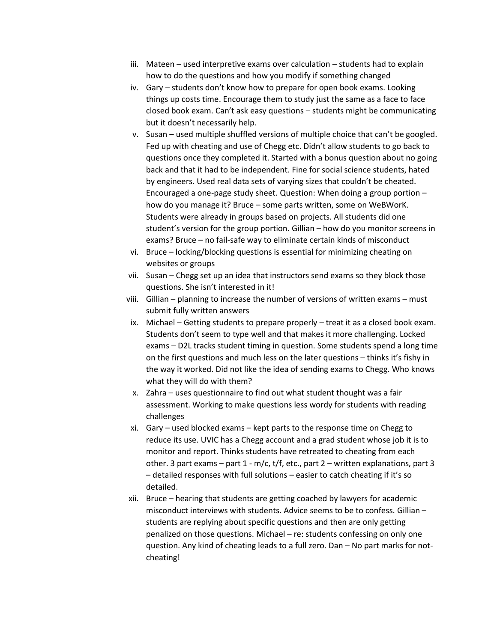- iii. Mateen used interpretive exams over calculation students had to explain how to do the questions and how you modify if something changed
- iv. Gary students don't know how to prepare for open book exams. Looking things up costs time. Encourage them to study just the same as a face to face closed book exam. Can't ask easy questions – students might be communicating but it doesn't necessarily help.
- v. Susan used multiple shuffled versions of multiple choice that can't be googled. Fed up with cheating and use of Chegg etc. Didn't allow students to go back to questions once they completed it. Started with a bonus question about no going back and that it had to be independent. Fine for social science students, hated by engineers. Used real data sets of varying sizes that couldn't be cheated. Encouraged a one-page study sheet. Question: When doing a group portion – how do you manage it? Bruce – some parts written, some on WeBWorK. Students were already in groups based on projects. All students did one student's version for the group portion. Gillian – how do you monitor screens in exams? Bruce – no fail-safe way to eliminate certain kinds of misconduct
- vi. Bruce locking/blocking questions is essential for minimizing cheating on websites or groups
- vii. Susan Chegg set up an idea that instructors send exams so they block those questions. She isn't interested in it!
- viii. Gillian planning to increase the number of versions of written exams must submit fully written answers
- ix. Michael Getting students to prepare properly treat it as a closed book exam. Students don't seem to type well and that makes it more challenging. Locked exams – D2L tracks student timing in question. Some students spend a long time on the first questions and much less on the later questions – thinks it's fishy in the way it worked. Did not like the idea of sending exams to Chegg. Who knows what they will do with them?
- x. Zahra uses questionnaire to find out what student thought was a fair assessment. Working to make questions less wordy for students with reading challenges
- xi. Gary used blocked exams kept parts to the response time on Chegg to reduce its use. UVIC has a Chegg account and a grad student whose job it is to monitor and report. Thinks students have retreated to cheating from each other. 3 part exams – part 1 - m/c, t/f, etc., part 2 – written explanations, part 3 – detailed responses with full solutions – easier to catch cheating if it's so detailed.
- xii. Bruce hearing that students are getting coached by lawyers for academic misconduct interviews with students. Advice seems to be to confess. Gillian – students are replying about specific questions and then are only getting penalized on those questions. Michael – re: students confessing on only one question. Any kind of cheating leads to a full zero. Dan – No part marks for notcheating!